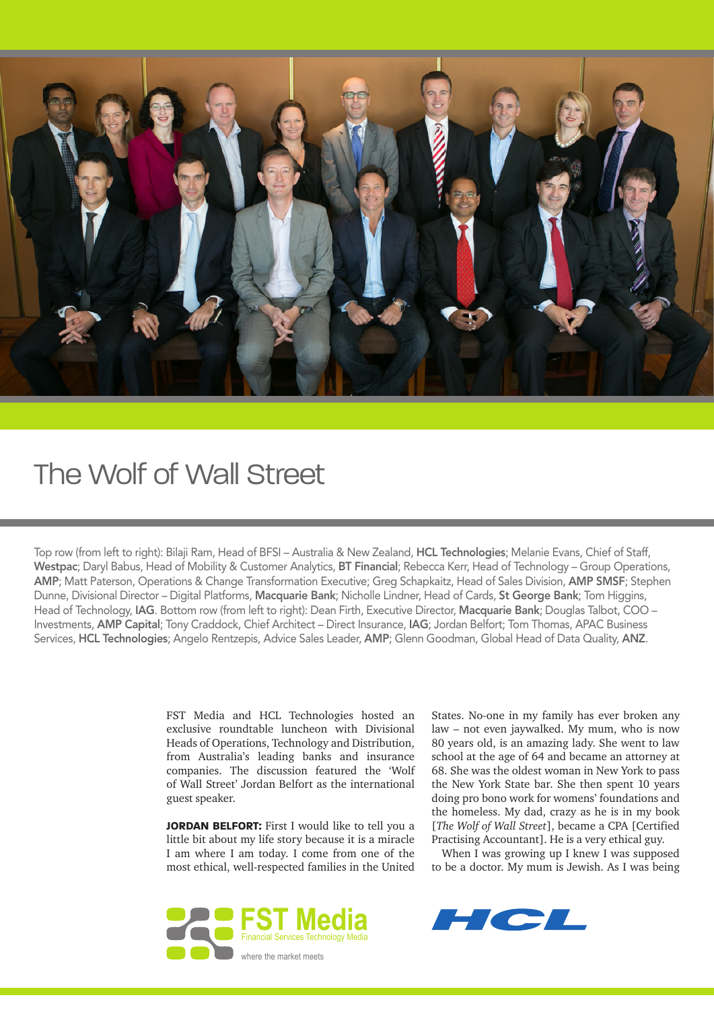

## The Wolf of Wall Street

Top row (from left to right): Bilaji Ram, Head of BFSI – Australia & New Zealand, HCL Technologies; Melanie Evans, Chief of Staff, Westpac; Daryl Babus, Head of Mobility & Customer Analytics, BT Financial; Rebecca Kerr, Head of Technology – Group Operations, AMP; Matt Paterson, Operations & Change Transformation Executive; Greg Schapkaitz, Head of Sales Division, AMP SMSF; Stephen Dunne, Divisional Director – Digital Platforms, Macquarie Bank; Nicholle Lindner, Head of Cards, St George Bank; Tom Higgins, Head of Technology, IAG. Bottom row (from left to right): Dean Firth, Executive Director, Macquarie Bank; Douglas Talbot, COO – Investments, AMP Capital; Tony Craddock, Chief Architect – Direct Insurance, IAG; Jordan Belfort; Tom Thomas, APAC Business Services, HCL Technologies; Angelo Rentzepis, Advice Sales Leader, AMP; Glenn Goodman, Global Head of Data Quality, ANZ.

> FST Media and HCL Technologies hosted an exclusive roundtable luncheon with Divisional Heads of Operations, Technology and Distribution, from Australia's leading banks and insurance companies. The discussion featured the 'Wolf of Wall Street' Jordan Belfort as the international guest speaker.

> **JORDAN BELFORT:** First I would like to tell you a little bit about my life story because it is a miracle I am where I am today. I come from one of the most ethical, well-respected families in the United



States. No-one in my family has ever broken any law – not even jaywalked. My mum, who is now 80 years old, is an amazing lady. She went to law school at the age of 64 and became an attorney at 68. She was the oldest woman in New York to pass the New York State bar. She then spent 10 years doing pro bono work for womens' foundations and the homeless. My dad, crazy as he is in my book [*The Wolf of Wall Street*], became a CPA [Certified Practising Accountant]. He is a very ethical guy.

When I was growing up I knew I was supposed to be a doctor. My mum is Jewish. As I was being

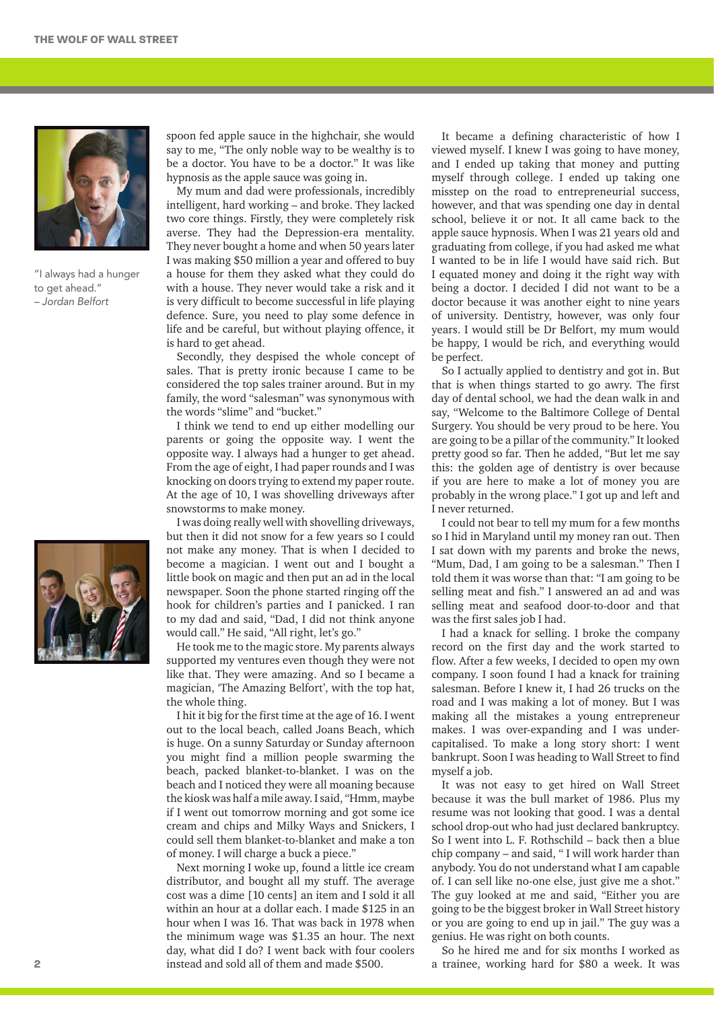

"I always had a hunger to get ahead." – Jordan Belfort



spoon fed apple sauce in the highchair, she would say to me, "The only noble way to be wealthy is to be a doctor. You have to be a doctor." It was like hypnosis as the apple sauce was going in.

My mum and dad were professionals, incredibly intelligent, hard working – and broke. They lacked two core things. Firstly, they were completely risk averse. They had the Depression-era mentality. They never bought a home and when 50 years later I was making \$50 million a year and offered to buy a house for them they asked what they could do with a house. They never would take a risk and it is very difficult to become successful in life playing defence. Sure, you need to play some defence in life and be careful, but without playing offence, it is hard to get ahead.

Secondly, they despised the whole concept of sales. That is pretty ironic because I came to be considered the top sales trainer around. But in my family, the word "salesman" was synonymous with the words "slime" and "bucket."

I think we tend to end up either modelling our parents or going the opposite way. I went the opposite way. I always had a hunger to get ahead. From the age of eight, I had paper rounds and I was knocking on doors trying to extend my paper route. At the age of 10, I was shovelling driveways after snowstorms to make money.

I was doing really well with shovelling driveways, but then it did not snow for a few years so I could not make any money. That is when I decided to become a magician. I went out and I bought a little book on magic and then put an ad in the local newspaper. Soon the phone started ringing off the hook for children's parties and I panicked. I ran to my dad and said, "Dad, I did not think anyone would call." He said, "All right, let's go."

He took me to the magic store. My parents always supported my ventures even though they were not like that. They were amazing. And so I became a magician, 'The Amazing Belfort', with the top hat, the whole thing.

I hit it big for the first time at the age of 16. I went out to the local beach, called Joans Beach, which is huge. On a sunny Saturday or Sunday afternoon you might find a million people swarming the beach, packed blanket-to-blanket. I was on the beach and I noticed they were all moaning because the kiosk was half a mile away. I said, "Hmm, maybe if I went out tomorrow morning and got some ice cream and chips and Milky Ways and Snickers, I could sell them blanket-to-blanket and make a ton of money. I will charge a buck a piece."

Next morning I woke up, found a little ice cream distributor, and bought all my stuff. The average cost was a dime [10 cents] an item and I sold it all within an hour at a dollar each. I made \$125 in an hour when I was 16. That was back in 1978 when the minimum wage was \$1.35 an hour. The next day, what did I do? I went back with four coolers instead and sold all of them and made \$500.

It became a defining characteristic of how I viewed myself. I knew I was going to have money, and I ended up taking that money and putting myself through college. I ended up taking one misstep on the road to entrepreneurial success, however, and that was spending one day in dental school, believe it or not. It all came back to the apple sauce hypnosis. When I was 21 years old and graduating from college, if you had asked me what I wanted to be in life I would have said rich. But I equated money and doing it the right way with being a doctor. I decided I did not want to be a doctor because it was another eight to nine years of university. Dentistry, however, was only four years. I would still be Dr Belfort, my mum would be happy, I would be rich, and everything would be perfect.

So I actually applied to dentistry and got in. But that is when things started to go awry. The first day of dental school, we had the dean walk in and say, "Welcome to the Baltimore College of Dental Surgery. You should be very proud to be here. You are going to be a pillar of the community." It looked pretty good so far. Then he added, "But let me say this: the golden age of dentistry is over because if you are here to make a lot of money you are probably in the wrong place." I got up and left and I never returned.

I could not bear to tell my mum for a few months so I hid in Maryland until my money ran out. Then I sat down with my parents and broke the news, "Mum, Dad, I am going to be a salesman." Then I told them it was worse than that: "I am going to be selling meat and fish." I answered an ad and was selling meat and seafood door-to-door and that was the first sales job I had.

I had a knack for selling. I broke the company record on the first day and the work started to flow. After a few weeks, I decided to open my own company. I soon found I had a knack for training salesman. Before I knew it, I had 26 trucks on the road and I was making a lot of money. But I was making all the mistakes a young entrepreneur makes. I was over-expanding and I was undercapitalised. To make a long story short: I went bankrupt. Soon I was heading to Wall Street to find myself a job.

It was not easy to get hired on Wall Street because it was the bull market of 1986. Plus my resume was not looking that good. I was a dental school drop-out who had just declared bankruptcy. So I went into L. F. Rothschild – back then a blue chip company – and said, " I will work harder than anybody. You do not understand what I am capable of. I can sell like no-one else, just give me a shot." The guy looked at me and said, "Either you are going to be the biggest broker in Wall Street history or you are going to end up in jail." The guy was a genius. He was right on both counts.

So he hired me and for six months I worked as a trainee, working hard for \$80 a week. It was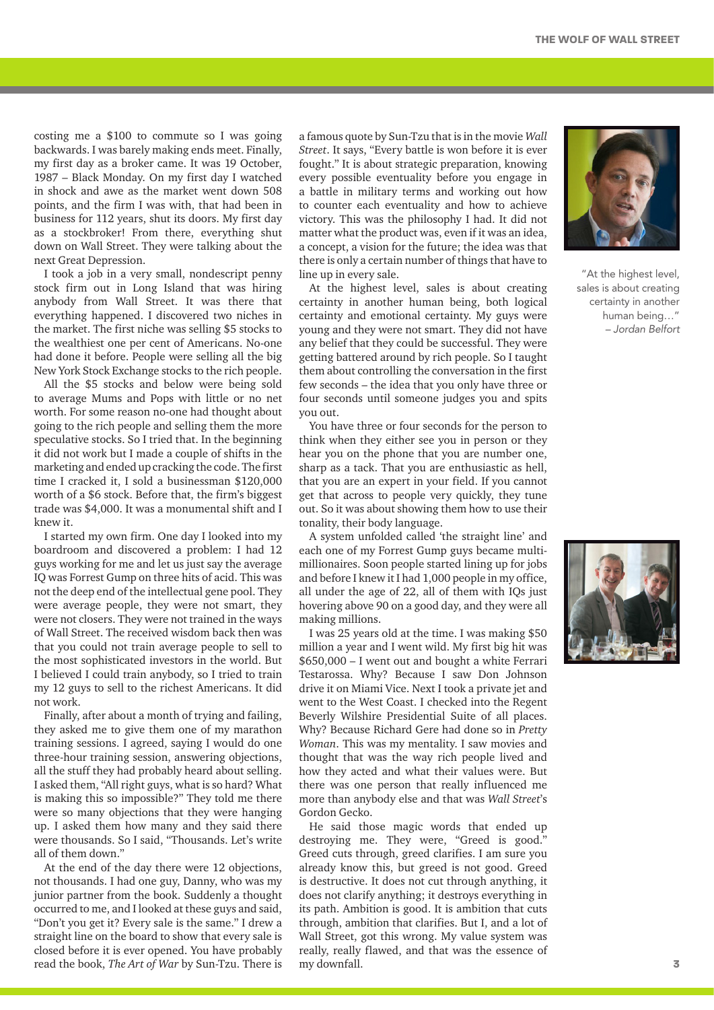costing me a \$100 to commute so I was going backwards. I was barely making ends meet. Finally, my first day as a broker came. It was 19 October, 1987 – Black Monday. On my first day I watched in shock and awe as the market went down 508 points, and the firm I was with, that had been in business for 112 years, shut its doors. My first day as a stockbroker! From there, everything shut down on Wall Street. They were talking about the next Great Depression.

I took a job in a very small, nondescript penny stock firm out in Long Island that was hiring anybody from Wall Street. It was there that everything happened. I discovered two niches in the market. The first niche was selling \$5 stocks to the wealthiest one per cent of Americans. No-one had done it before. People were selling all the big New York Stock Exchange stocks to the rich people.

All the \$5 stocks and below were being sold to average Mums and Pops with little or no net worth. For some reason no-one had thought about going to the rich people and selling them the more speculative stocks. So I tried that. In the beginning it did not work but I made a couple of shifts in the marketing and ended up cracking the code. The first time I cracked it, I sold a businessman \$120,000 worth of a \$6 stock. Before that, the firm's biggest trade was \$4,000. It was a monumental shift and I knew it.

I started my own firm. One day I looked into my boardroom and discovered a problem: I had 12 guys working for me and let us just say the average IQ was Forrest Gump on three hits of acid. This was not the deep end of the intellectual gene pool. They were average people, they were not smart, they were not closers. They were not trained in the ways of Wall Street. The received wisdom back then was that you could not train average people to sell to the most sophisticated investors in the world. But I believed I could train anybody, so I tried to train my 12 guys to sell to the richest Americans. It did not work.

Finally, after about a month of trying and failing, they asked me to give them one of my marathon training sessions. I agreed, saying I would do one three-hour training session, answering objections, all the stuff they had probably heard about selling. I asked them, "All right guys, what is so hard? What is making this so impossible?" They told me there were so many objections that they were hanging up. I asked them how many and they said there were thousands. So I said, "Thousands. Let's write all of them down."

At the end of the day there were 12 objections, not thousands. I had one guy, Danny, who was my junior partner from the book. Suddenly a thought occurred to me, and I looked at these guys and said, "Don't you get it? Every sale is the same." I drew a straight line on the board to show that every sale is closed before it is ever opened. You have probably read the book, *The Art of War* by Sun-Tzu. There is

a famous quote by Sun-Tzu that is in the movie *Wall Street*. It says, "Every battle is won before it is ever fought." It is about strategic preparation, knowing every possible eventuality before you engage in a battle in military terms and working out how to counter each eventuality and how to achieve victory. This was the philosophy I had. It did not matter what the product was, even if it was an idea, a concept, a vision for the future; the idea was that there is only a certain number of things that have to line up in every sale.

At the highest level, sales is about creating certainty in another human being, both logical certainty and emotional certainty. My guys were young and they were not smart. They did not have any belief that they could be successful. They were getting battered around by rich people. So I taught them about controlling the conversation in the first few seconds – the idea that you only have three or four seconds until someone judges you and spits you out.

You have three or four seconds for the person to think when they either see you in person or they hear you on the phone that you are number one, sharp as a tack. That you are enthusiastic as hell, that you are an expert in your field. If you cannot get that across to people very quickly, they tune out. So it was about showing them how to use their tonality, their body language.

A system unfolded called 'the straight line' and each one of my Forrest Gump guys became multimillionaires. Soon people started lining up for jobs and before I knew it I had 1,000 people in my office, all under the age of 22, all of them with IQs just hovering above 90 on a good day, and they were all making millions.

I was 25 years old at the time. I was making \$50 million a year and I went wild. My first big hit was \$650,000 – I went out and bought a white Ferrari Testarossa. Why? Because I saw Don Johnson drive it on Miami Vice. Next I took a private jet and went to the West Coast. I checked into the Regent Beverly Wilshire Presidential Suite of all places. Why? Because Richard Gere had done so in *Pretty Woman*. This was my mentality. I saw movies and thought that was the way rich people lived and how they acted and what their values were. But there was one person that really influenced me more than anybody else and that was *Wall Street*'s Gordon Gecko.

He said those magic words that ended up destroying me. They were, "Greed is good." Greed cuts through, greed clarifies. I am sure you already know this, but greed is not good. Greed is destructive. It does not cut through anything, it does not clarify anything; it destroys everything in its path. Ambition is good. It is ambition that cuts through, ambition that clarifies. But I, and a lot of Wall Street, got this wrong. My value system was really, really flawed, and that was the essence of my downfall.



"At the highest level, sales is about creating certainty in another human being…" – Jordan Belfort

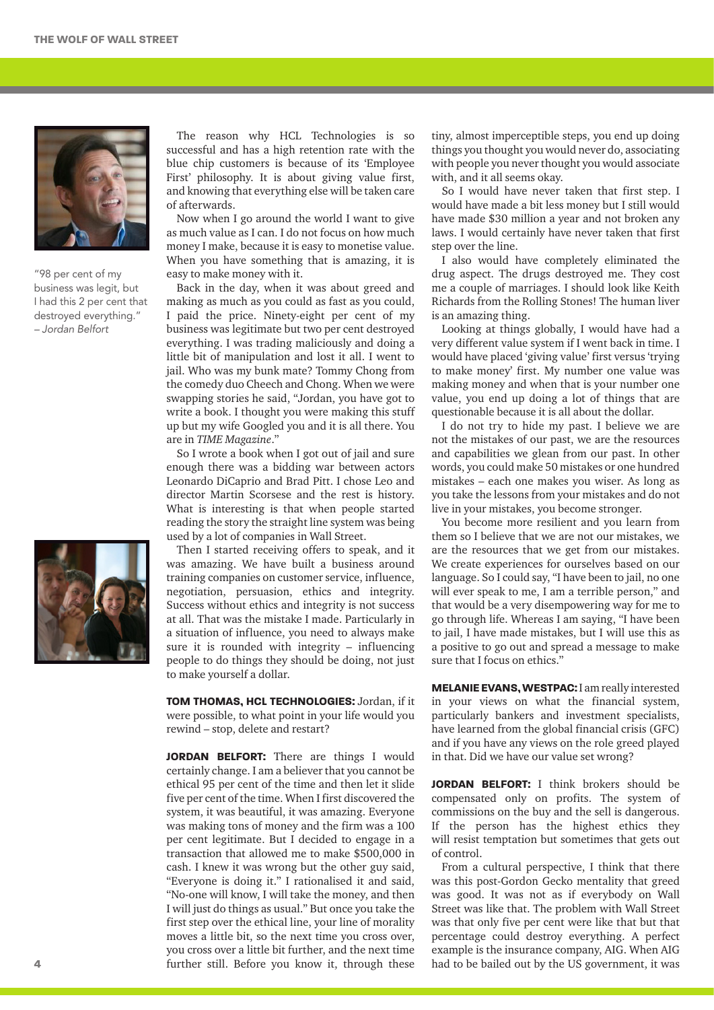

"98 per cent of my business was legit, but I had this 2 per cent that destroyed everything." – Jordan Belfort



The reason why HCL Technologies is so successful and has a high retention rate with the blue chip customers is because of its 'Employee First' philosophy. It is about giving value first, and knowing that everything else will be taken care of afterwards.

Now when I go around the world I want to give as much value as I can. I do not focus on how much money I make, because it is easy to monetise value. When you have something that is amazing, it is easy to make money with it.

Back in the day, when it was about greed and making as much as you could as fast as you could, I paid the price. Ninety-eight per cent of my business was legitimate but two per cent destroyed everything. I was trading maliciously and doing a little bit of manipulation and lost it all. I went to jail. Who was my bunk mate? Tommy Chong from the comedy duo Cheech and Chong. When we were swapping stories he said, "Jordan, you have got to write a book. I thought you were making this stuff up but my wife Googled you and it is all there. You are in *TIME Magazine*."

So I wrote a book when I got out of jail and sure enough there was a bidding war between actors Leonardo DiCaprio and Brad Pitt. I chose Leo and director Martin Scorsese and the rest is history. What is interesting is that when people started reading the story the straight line system was being used by a lot of companies in Wall Street.

Then I started receiving offers to speak, and it was amazing. We have built a business around training companies on customer service, influence, negotiation, persuasion, ethics and integrity. Success without ethics and integrity is not success at all. That was the mistake I made. Particularly in a situation of influence, you need to always make sure it is rounded with integrity – influencing people to do things they should be doing, not just to make yourself a dollar.

**Tom Thomas, HCL Technologies:** Jordan, if it were possible, to what point in your life would you rewind – stop, delete and restart?

**JORDAN BELFORT:** There are things I would certainly change. I am a believer that you cannot be ethical 95 per cent of the time and then let it slide five per cent of the time. When I first discovered the system, it was beautiful, it was amazing. Everyone was making tons of money and the firm was a 100 per cent legitimate. But I decided to engage in a transaction that allowed me to make \$500,000 in cash. I knew it was wrong but the other guy said, "Everyone is doing it." I rationalised it and said, "No-one will know, I will take the money, and then I will just do things as usual." But once you take the first step over the ethical line, your line of morality moves a little bit, so the next time you cross over, you cross over a little bit further, and the next time further still. Before you know it, through these

tiny, almost imperceptible steps, you end up doing things you thought you would never do, associating with people you never thought you would associate with, and it all seems okay.

So I would have never taken that first step. I would have made a bit less money but I still would have made \$30 million a year and not broken any laws. I would certainly have never taken that first step over the line.

I also would have completely eliminated the drug aspect. The drugs destroyed me. They cost me a couple of marriages. I should look like Keith Richards from the Rolling Stones! The human liver is an amazing thing.

Looking at things globally, I would have had a very different value system if I went back in time. I would have placed 'giving value' first versus 'trying to make money' first. My number one value was making money and when that is your number one value, you end up doing a lot of things that are questionable because it is all about the dollar.

I do not try to hide my past. I believe we are not the mistakes of our past, we are the resources and capabilities we glean from our past. In other words, you could make 50 mistakes or one hundred mistakes – each one makes you wiser. As long as you take the lessons from your mistakes and do not live in your mistakes, you become stronger.

You become more resilient and you learn from them so I believe that we are not our mistakes, we are the resources that we get from our mistakes. We create experiences for ourselves based on our language. So I could say, "I have been to jail, no one will ever speak to me, I am a terrible person," and that would be a very disempowering way for me to go through life. Whereas I am saying, "I have been to jail, I have made mistakes, but I will use this as a positive to go out and spread a message to make sure that I focus on ethics."

**Melanie Evans, Westpac:** I am really interested in your views on what the financial system, particularly bankers and investment specialists, have learned from the global financial crisis (GFC) and if you have any views on the role greed played in that. Did we have our value set wrong?

**JORDAN BELFORT:** I think brokers should be compensated only on profits. The system of commissions on the buy and the sell is dangerous. If the person has the highest ethics they will resist temptation but sometimes that gets out of control.

From a cultural perspective, I think that there was this post-Gordon Gecko mentality that greed was good. It was not as if everybody on Wall Street was like that. The problem with Wall Street was that only five per cent were like that but that percentage could destroy everything. A perfect example is the insurance company, AIG. When AIG had to be bailed out by the US government, it was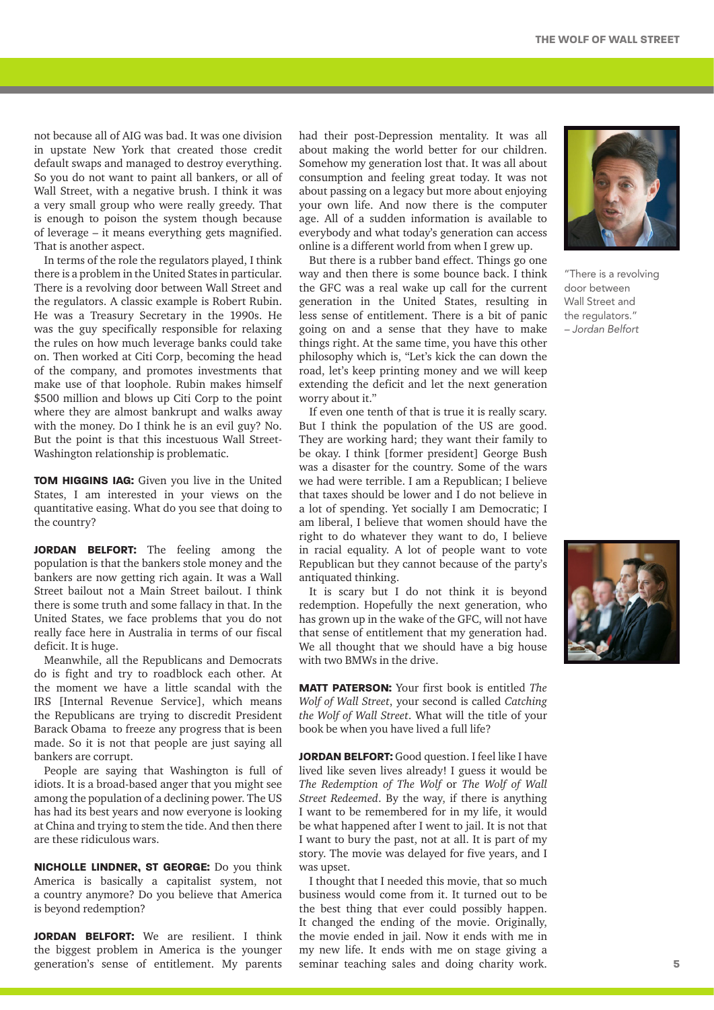not because all of AIG was bad. It was one division in upstate New York that created those credit default swaps and managed to destroy everything. So you do not want to paint all bankers, or all of Wall Street, with a negative brush. I think it was a very small group who were really greedy. That is enough to poison the system though because of leverage – it means everything gets magnified. That is another aspect.

In terms of the role the regulators played, I think there is a problem in the United States in particular. There is a revolving door between Wall Street and the regulators. A classic example is Robert Rubin. He was a Treasury Secretary in the 1990s. He was the guy specifically responsible for relaxing the rules on how much leverage banks could take on. Then worked at Citi Corp, becoming the head of the company, and promotes investments that make use of that loophole. Rubin makes himself \$500 million and blows up Citi Corp to the point where they are almost bankrupt and walks away with the money. Do I think he is an evil guy? No. But the point is that this incestuous Wall Street-Washington relationship is problematic.

**Tom Higgins IAG:** Given you live in the United States, I am interested in your views on the quantitative easing. What do you see that doing to the country?

**JORDAN BELFORT:** The feeling among the population is that the bankers stole money and the bankers are now getting rich again. It was a Wall Street bailout not a Main Street bailout. I think there is some truth and some fallacy in that. In the United States, we face problems that you do not really face here in Australia in terms of our fiscal deficit. It is huge.

Meanwhile, all the Republicans and Democrats do is fight and try to roadblock each other. At the moment we have a little scandal with the IRS [Internal Revenue Service], which means the Republicans are trying to discredit President Barack Obama to freeze any progress that is been made. So it is not that people are just saying all bankers are corrupt.

People are saying that Washington is full of idiots. It is a broad-based anger that you might see among the population of a declining power. The US has had its best years and now everyone is looking at China and trying to stem the tide. And then there are these ridiculous wars.

**Nicholle Lindner, St George:** Do you think America is basically a capitalist system, not a country anymore? Do you believe that America is beyond redemption?

**JORDAN BELFORT:** We are resilient. I think the biggest problem in America is the younger generation's sense of entitlement. My parents

had their post-Depression mentality. It was all about making the world better for our children. Somehow my generation lost that. It was all about consumption and feeling great today. It was not about passing on a legacy but more about enjoying your own life. And now there is the computer age. All of a sudden information is available to everybody and what today's generation can access online is a different world from when I grew up.

But there is a rubber band effect. Things go one way and then there is some bounce back. I think the GFC was a real wake up call for the current generation in the United States, resulting in less sense of entitlement. There is a bit of panic going on and a sense that they have to make things right. At the same time, you have this other philosophy which is, "Let's kick the can down the road, let's keep printing money and we will keep extending the deficit and let the next generation worry about it."

If even one tenth of that is true it is really scary. But I think the population of the US are good. They are working hard; they want their family to be okay. I think [former president] George Bush was a disaster for the country. Some of the wars we had were terrible. I am a Republican; I believe that taxes should be lower and I do not believe in a lot of spending. Yet socially I am Democratic; I am liberal, I believe that women should have the right to do whatever they want to do, I believe in racial equality. A lot of people want to vote Republican but they cannot because of the party's antiquated thinking.

It is scary but I do not think it is beyond redemption. Hopefully the next generation, who has grown up in the wake of the GFC, will not have that sense of entitlement that my generation had. We all thought that we should have a big house with two BMWs in the drive.

**Matt Paterson:** Your first book is entitled *The Wolf of Wall Street*, your second is called *Catching the Wolf of Wall Street*. What will the title of your book be when you have lived a full life?

**JORDAN BELFORT:** Good question. I feel like I have lived like seven lives already! I guess it would be *The Redemption of The Wolf* or *The Wolf of Wall Street Redeemed*. By the way, if there is anything I want to be remembered for in my life, it would be what happened after I went to jail. It is not that I want to bury the past, not at all. It is part of my story. The movie was delayed for five years, and I was upset.

I thought that I needed this movie, that so much business would come from it. It turned out to be the best thing that ever could possibly happen. It changed the ending of the movie. Originally, the movie ended in jail. Now it ends with me in my new life. It ends with me on stage giving a seminar teaching sales and doing charity work.



"There is a revolving door between Wall Street and the regulators." – Jordan Belfort

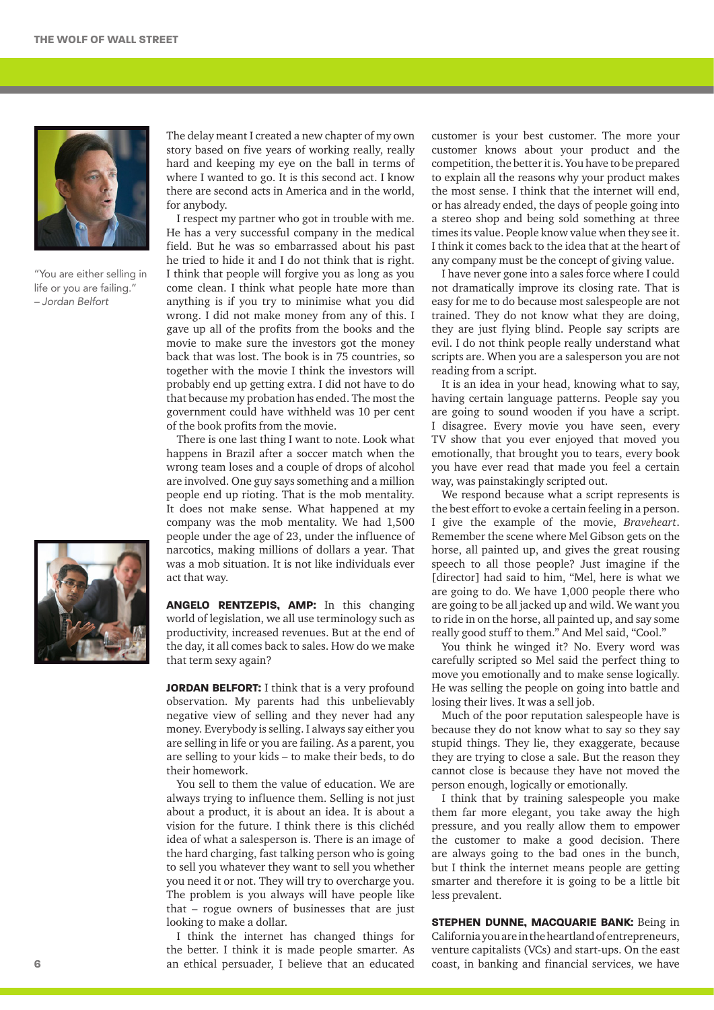

"You are either selling in life or you are failing." – Jordan Belfort



The delay meant I created a new chapter of my own story based on five years of working really, really hard and keeping my eye on the ball in terms of where I wanted to go. It is this second act. I know there are second acts in America and in the world, for anybody.

I respect my partner who got in trouble with me. He has a very successful company in the medical field. But he was so embarrassed about his past he tried to hide it and I do not think that is right. I think that people will forgive you as long as you come clean. I think what people hate more than anything is if you try to minimise what you did wrong. I did not make money from any of this. I gave up all of the profits from the books and the movie to make sure the investors got the money back that was lost. The book is in 75 countries, so together with the movie I think the investors will probably end up getting extra. I did not have to do that because my probation has ended. The most the government could have withheld was 10 per cent of the book profits from the movie.

There is one last thing I want to note. Look what happens in Brazil after a soccer match when the wrong team loses and a couple of drops of alcohol are involved. One guy says something and a million people end up rioting. That is the mob mentality. It does not make sense. What happened at my company was the mob mentality. We had 1,500 people under the age of 23, under the influence of narcotics, making millions of dollars a year. That was a mob situation. It is not like individuals ever act that way.

**Angelo Rentzepis, AMP:** In this changing world of legislation, we all use terminology such as productivity, increased revenues. But at the end of the day, it all comes back to sales. How do we make that term sexy again?

**JORDAN BELFORT:** I think that is a very profound observation. My parents had this unbelievably negative view of selling and they never had any money. Everybody is selling. I always say either you are selling in life or you are failing. As a parent, you are selling to your kids – to make their beds, to do their homework.

You sell to them the value of education. We are always trying to influence them. Selling is not just about a product, it is about an idea. It is about a vision for the future. I think there is this clichéd idea of what a salesperson is. There is an image of the hard charging, fast talking person who is going to sell you whatever they want to sell you whether you need it or not. They will try to overcharge you. The problem is you always will have people like that – rogue owners of businesses that are just looking to make a dollar.

I think the internet has changed things for the better. I think it is made people smarter. As an ethical persuader, I believe that an educated customer is your best customer. The more your customer knows about your product and the competition, the better it is. You have to be prepared to explain all the reasons why your product makes the most sense. I think that the internet will end, or has already ended, the days of people going into a stereo shop and being sold something at three times its value. People know value when they see it. I think it comes back to the idea that at the heart of any company must be the concept of giving value.

I have never gone into a sales force where I could not dramatically improve its closing rate. That is easy for me to do because most salespeople are not trained. They do not know what they are doing, they are just flying blind. People say scripts are evil. I do not think people really understand what scripts are. When you are a salesperson you are not reading from a script.

It is an idea in your head, knowing what to say, having certain language patterns. People say you are going to sound wooden if you have a script. I disagree. Every movie you have seen, every TV show that you ever enjoyed that moved you emotionally, that brought you to tears, every book you have ever read that made you feel a certain way, was painstakingly scripted out.

We respond because what a script represents is the best effort to evoke a certain feeling in a person. I give the example of the movie, *Braveheart*. Remember the scene where Mel Gibson gets on the horse, all painted up, and gives the great rousing speech to all those people? Just imagine if the [director] had said to him, "Mel, here is what we are going to do. We have 1,000 people there who are going to be all jacked up and wild. We want you to ride in on the horse, all painted up, and say some really good stuff to them." And Mel said, "Cool."

You think he winged it? No. Every word was carefully scripted so Mel said the perfect thing to move you emotionally and to make sense logically. He was selling the people on going into battle and losing their lives. It was a sell job.

Much of the poor reputation salespeople have is because they do not know what to say so they say stupid things. They lie, they exaggerate, because they are trying to close a sale. But the reason they cannot close is because they have not moved the person enough, logically or emotionally.

I think that by training salespeople you make them far more elegant, you take away the high pressure, and you really allow them to empower the customer to make a good decision. There are always going to the bad ones in the bunch, but I think the internet means people are getting smarter and therefore it is going to be a little bit less prevalent.

**Stephen Dunne, Macquarie Bank:** Being in California you are in the heartland of entrepreneurs, venture capitalists (VCs) and start-ups. On the east coast, in banking and financial services, we have